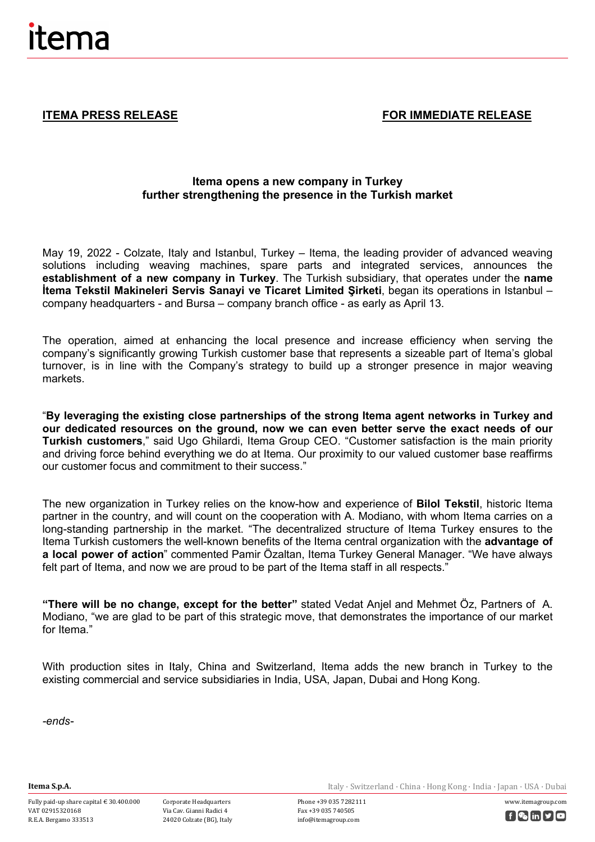

**ITEMA PRESS RELEASE FOR IMMEDIATE RELEASE**

## **Itema opens a new company in Turkey further strengthening the presence in the Turkish market**

May 19, 2022 - Colzate, Italy and Istanbul, Turkey – Itema, the leading provider of advanced weaving solutions including weaving machines, spare parts and integrated services, announces the **establishment of a new company in Turkey**. The Turkish subsidiary, that operates under the **name İtema Tekstil Makineleri Servis Sanayi ve Ticaret Limited Şirketi**, began its operations in Istanbul – company headquarters - and Bursa – company branch office - as early as April 13.

The operation, aimed at enhancing the local presence and increase efficiency when serving the company's significantly growing Turkish customer base that represents a sizeable part of Itema's global turnover, is in line with the Company's strategy to build up a stronger presence in major weaving markets.

"**By leveraging the existing close partnerships of the strong Itema agent networks in Turkey and our dedicated resources on the ground, now we can even better serve the exact needs of our Turkish customers**," said Ugo Ghilardi, Itema Group CEO. "Customer satisfaction is the main priority and driving force behind everything we do at Itema. Our proximity to our valued customer base reaffirms our customer focus and commitment to their success."

The new organization in Turkey relies on the know-how and experience of **Bilol Tekstil**, historic Itema partner in the country, and will count on the cooperation with A. Modiano, with whom Itema carries on a long-standing partnership in the market. "The decentralized structure of Itema Turkey ensures to the Itema Turkish customers the well-known benefits of the Itema central organization with the **advantage of a local power of action**" commented Pamir Özaltan, Itema Turkey General Manager. "We have always felt part of Itema, and now we are proud to be part of the Itema staff in all respects."

**"There will be no change, except for the better"** stated Vedat Anjel and Mehmet Öz, Partners of A. Modiano, "we are glad to be part of this strategic move, that demonstrates the importance of our market for Itema."

With production sites in Italy, China and Switzerland, Itema adds the new branch in Turkey to the existing commercial and service subsidiaries in India, USA, Japan, Dubai and Hong Kong.

*-ends-*

Fully paid-up share capital € 30.400.000 VAT 02915320168 R.E.A. Bergamo 333513

**Itema S.p.A. Italy** · Switzerland · China · Hong Kong · India · Japan · USA · Dubai